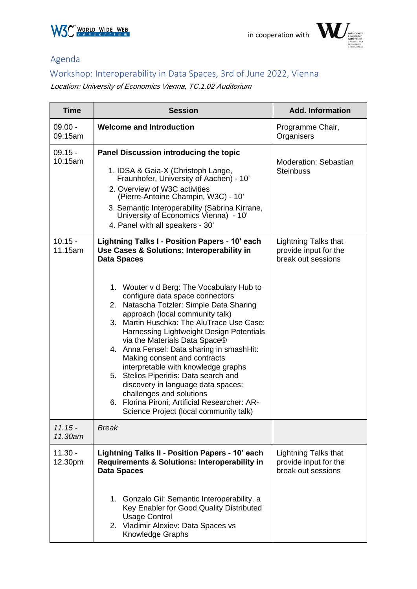



## Agenda

## Workshop: Interoperability in Data Spaces, 3rd of June 2022, Vienna

Location: [University of Economics Vienna, TC.1.02 Auditorium](https://campus.wu.ac.at/en/?campus=1&q=TC.1.02#map)

| <b>Time</b>          | <b>Session</b>                                                                                                                                                                                                                                                                                                                                                                                                                                                                                                                                                                                                                                                                                                                        | <b>Add. Information</b>                                                    |
|----------------------|---------------------------------------------------------------------------------------------------------------------------------------------------------------------------------------------------------------------------------------------------------------------------------------------------------------------------------------------------------------------------------------------------------------------------------------------------------------------------------------------------------------------------------------------------------------------------------------------------------------------------------------------------------------------------------------------------------------------------------------|----------------------------------------------------------------------------|
| $09.00 -$<br>09.15am | <b>Welcome and Introduction</b>                                                                                                                                                                                                                                                                                                                                                                                                                                                                                                                                                                                                                                                                                                       | Programme Chair,<br>Organisers                                             |
| $09.15 -$<br>10.15am | Panel Discussion introducing the topic<br>1. IDSA & Gaia-X (Christoph Lange,<br>Fraunhofer, University of Aachen) - 10'<br>2. Overview of W3C activities<br>(Pierre-Antoine Champin, W3C) - 10'<br>3. Semantic Interoperability (Sabrina Kirrane,<br>University of Economics Vienna) - 10'<br>4. Panel with all speakers - 30'                                                                                                                                                                                                                                                                                                                                                                                                        | Moderation: Sebastian<br><b>Steinbuss</b>                                  |
| $10.15 -$<br>11.15am | Lightning Talks I - Position Papers - 10' each<br>Use Cases & Solutions: Interoperability in<br><b>Data Spaces</b><br>1. Wouter v d Berg: The Vocabulary Hub to<br>configure data space connectors<br>2. Natascha Totzler: Simple Data Sharing<br>approach (local community talk)<br>3. Martin Huschka: The AluTrace Use Case:<br>Harnessing Lightweight Design Potentials<br>via the Materials Data Space®<br>4. Anna Fensel: Data sharing in smashHit:<br>Making consent and contracts<br>interpretable with knowledge graphs<br>5. Stelios Piperidis: Data search and<br>discovery in language data spaces:<br>challenges and solutions<br>6. Florina Pironi, Artificial Researcher: AR-<br>Science Project (local community talk) | <b>Lightning Talks that</b><br>provide input for the<br>break out sessions |
| $11.15 -$<br>11.30am | <b>Break</b>                                                                                                                                                                                                                                                                                                                                                                                                                                                                                                                                                                                                                                                                                                                          |                                                                            |
| $11.30 -$<br>12.30pm | <b>Lightning Talks II - Position Papers - 10' each</b><br>Requirements & Solutions: Interoperability in<br><b>Data Spaces</b><br>1. Gonzalo Gil: Semantic Interoperability, a<br>Key Enabler for Good Quality Distributed<br><b>Usage Control</b><br>2. Vladimir Alexiev: Data Spaces vs<br>Knowledge Graphs                                                                                                                                                                                                                                                                                                                                                                                                                          | <b>Lightning Talks that</b><br>provide input for the<br>break out sessions |